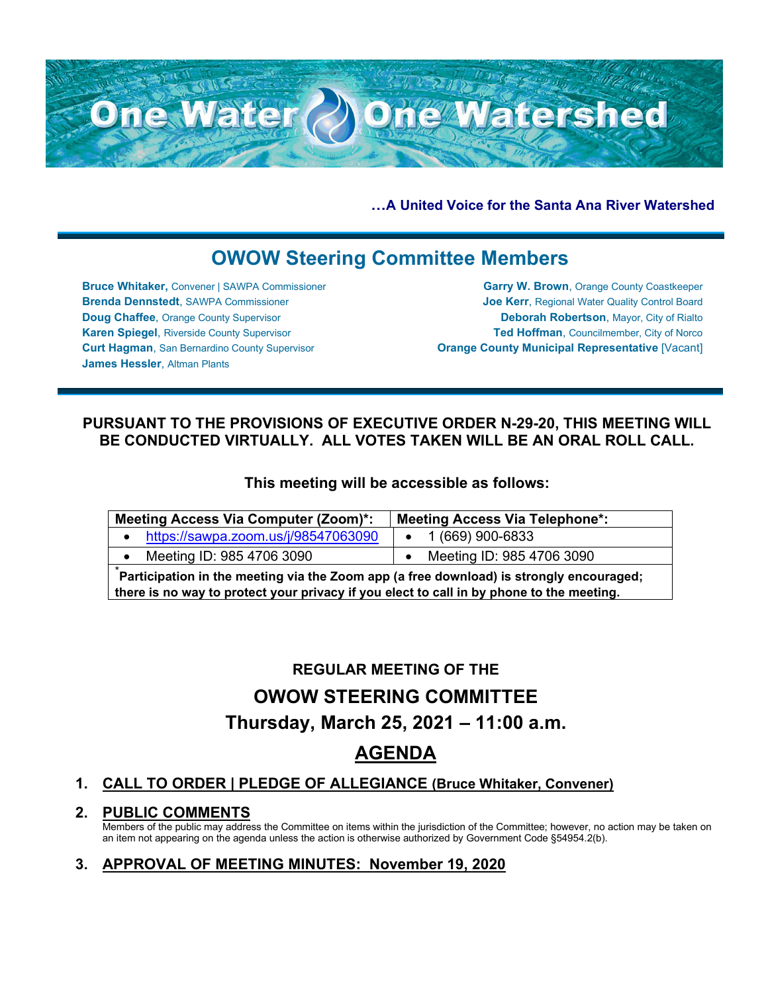

**…A United Voice for the Santa Ana River Watershed**

# **OWOW Steering Committee Members**

**Bruce Whitaker,** Convener | SAWPA Commissioner **Brenda Dennstedt**, SAWPA Commissioner **Doug Chaffee**, Orange County Supervisor **Karen Spiegel**, Riverside County Supervisor **Curt Hagman**, San Bernardino County Supervisor **James Hessler**, Altman Plants

**Garry W. Brown**, Orange County Coastkeeper **Joe Kerr**, Regional Water Quality Control Board **Deborah Robertson**, Mayor, City of Rialto **Ted Hoffman**, Councilmember, City of Norco **Orange County Municipal Representative** [Vacant]

## **PURSUANT TO THE PROVISIONS OF EXECUTIVE ORDER N-29-20, THIS MEETING WILL BE CONDUCTED VIRTUALLY. ALL VOTES TAKEN WILL BE AN ORAL ROLL CALL.**

### **This meeting will be accessible as follows:**

| <b>Meeting Access Via Computer (Zoom)*:</b>                                             | <b>Meeting Access Via Telephone*:</b> |  |  |
|-----------------------------------------------------------------------------------------|---------------------------------------|--|--|
| https://sawpa.zoom.us/j/98547063090                                                     | $\bullet$ 1 (669) 900-6833            |  |  |
| Meeting ID: 985 4706 3090                                                               | Meeting ID: 985 4706 3090             |  |  |
| Participation in the meeting via the Zoom app (a free download) is strongly encouraged; |                                       |  |  |

**there is no way to protect your privacy if you elect to call in by phone to the meeting.**

## **REGULAR MEETING OF THE**

# **OWOW STEERING COMMITTEE**

## **Thursday, March 25, 2021 – 11:00 a.m.**

## **AGENDA**

### **1. CALL TO ORDER | PLEDGE OF ALLEGIANCE (Bruce Whitaker, Convener)**

### **2. PUBLIC COMMENTS**

Members of the public may address the Committee on items within the jurisdiction of the Committee; however, no action may be taken on an item not appearing on the agenda unless the action is otherwise authorized by Government Code §54954.2(b).

## **3. APPROVAL OF MEETING MINUTES: November 19, 2020**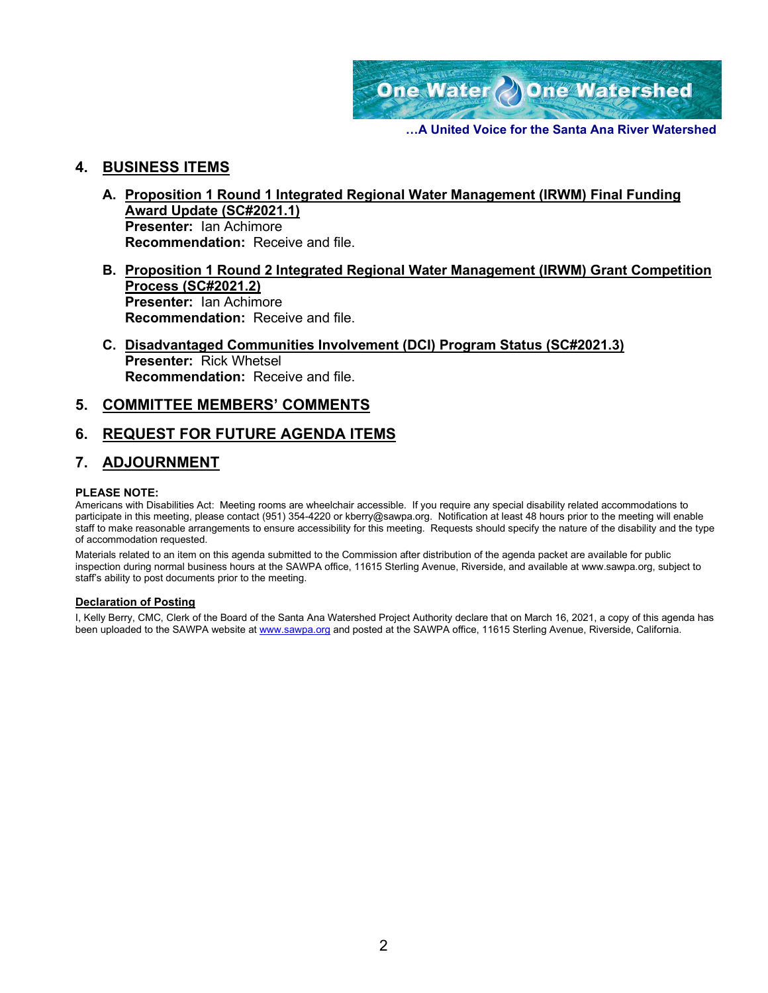

**…A United Voice for the Santa Ana River Watershed**

#### **4. BUSINESS ITEMS**

- **A. Proposition 1 Round 1 Integrated Regional Water Management (IRWM) Final Funding Award Update (SC#2021.1) Presenter:** Ian Achimore **Recommendation:** Receive and file.
- **B. Proposition 1 Round 2 Integrated Regional Water Management (IRWM) Grant Competition Process (SC#2021.2) Presenter:** Ian Achimore **Recommendation:** Receive and file.
- **C. Disadvantaged Communities Involvement (DCI) Program Status (SC#2021.3) Presenter:** Rick Whetsel **Recommendation:** Receive and file.

#### **5. COMMITTEE MEMBERS' COMMENTS**

#### **6. REQUEST FOR FUTURE AGENDA ITEMS**

#### **7. ADJOURNMENT**

#### **PLEASE NOTE:**

Americans with Disabilities Act: Meeting rooms are wheelchair accessible. If you require any special disability related accommodations to participate in this meeting, please contact (951) 354-4220 or kberry@sawpa.org. Notification at least 48 hours prior to the meeting will enable staff to make reasonable arrangements to ensure accessibility for this meeting. Requests should specify the nature of the disability and the type of accommodation requested.

Materials related to an item on this agenda submitted to the Commission after distribution of the agenda packet are available for public inspection during normal business hours at the SAWPA office, 11615 Sterling Avenue, Riverside, and available at www.sawpa.org, subject to staff's ability to post documents prior to the meeting.

#### **Declaration of Posting**

I, Kelly Berry, CMC, Clerk of the Board of the Santa Ana Watershed Project Authority declare that on March 16, 2021, a copy of this agenda has been uploaded to the SAWPA website at [www.sawpa.org](http://www.sawpa.org/) and posted at the SAWPA office, 11615 Sterling Avenue, Riverside, California.